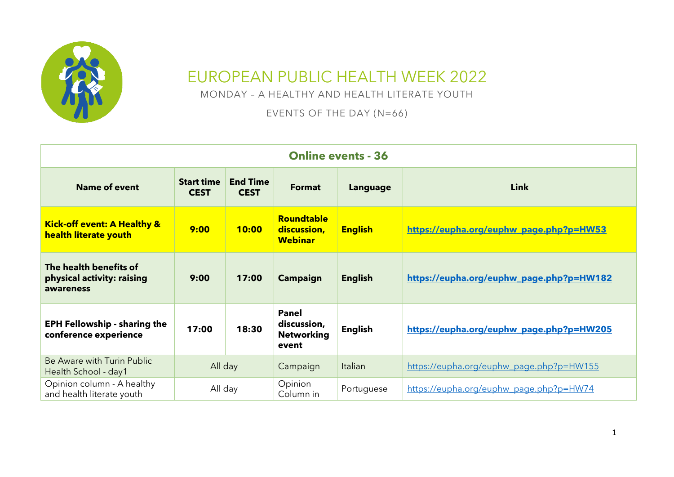

## EUROPEAN PUBLIC HEALTH WEEK 2022

MONDAY – A HEALTHY AND HEALTH LITERATE YOUTH

EVENTS OF THE DAY (N=66)

| <b>Online events - 36</b>                                         |                                  |                                |                                                           |                 |                                          |  |  |
|-------------------------------------------------------------------|----------------------------------|--------------------------------|-----------------------------------------------------------|-----------------|------------------------------------------|--|--|
| <b>Name of event</b>                                              | <b>Start time</b><br><b>CEST</b> | <b>End Time</b><br><b>CEST</b> | <b>Format</b>                                             | <b>Language</b> | <b>Link</b>                              |  |  |
| <b>Kick-off event: A Healthy &amp;</b><br>health literate youth   | 9:00                             | 10:00                          | <b>Roundtable</b><br>discussion,<br><b>Webinar</b>        | <b>English</b>  | https://eupha.org/euphw_page.php?p=HW53  |  |  |
| The health benefits of<br>physical activity: raising<br>awareness | 9:00                             | 17:00                          | <b>Campaign</b>                                           | <b>English</b>  | https://eupha.org/euphw_page.php?p=HW182 |  |  |
| <b>EPH Fellowship - sharing the</b><br>conference experience      | 17:00                            | 18:30                          | <b>Panel</b><br>discussion,<br><b>Networking</b><br>event | <b>English</b>  | https://eupha.org/euphw_page.php?p=HW205 |  |  |
| Be Aware with Turin Public<br>Health School - day1                | All day                          |                                | Campaign                                                  | Italian         | https://eupha.org/euphw_page.php?p=HW155 |  |  |
| Opinion column - A healthy<br>and health literate youth           | All day                          |                                | Opinion<br>Column in                                      | Portuguese      | https://eupha.org/euphw_page.php?p=HW74  |  |  |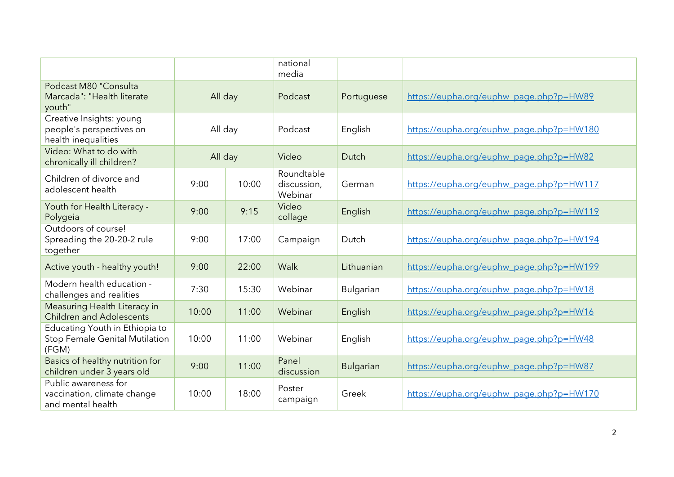|                                                                             |         |       | national<br>media                    |                  |                                          |
|-----------------------------------------------------------------------------|---------|-------|--------------------------------------|------------------|------------------------------------------|
| Podcast M80 "Consulta<br>Marcada": "Health literate<br>youth"               | All day |       | Podcast                              | Portuguese       | https://eupha.org/euphw_page.php?p=HW89  |
| Creative Insights: young<br>people's perspectives on<br>health inequalities | All day |       | Podcast                              | English          | https://eupha.org/euphw_page.php?p=HW180 |
| Video: What to do with<br>chronically ill children?                         | All day |       | Video                                | Dutch            | https://eupha.org/euphw_page.php?p=HW82  |
| Children of divorce and<br>adolescent health                                | 9:00    | 10:00 | Roundtable<br>discussion,<br>Webinar | German           | https://eupha.org/euphw_page.php?p=HW117 |
| Youth for Health Literacy -<br>Polygeia                                     | 9:00    | 9:15  | Video<br>collage                     | English          | https://eupha.org/euphw_page.php?p=HW119 |
| Outdoors of course!<br>Spreading the 20-20-2 rule<br>together               | 9:00    | 17:00 | Campaign                             | Dutch            | https://eupha.org/euphw_page.php?p=HW194 |
| Active youth - healthy youth!                                               | 9:00    | 22:00 | Walk                                 | Lithuanian       | https://eupha.org/euphw_page.php?p=HW199 |
| Modern health education -<br>challenges and realities                       | 7:30    | 15:30 | Webinar                              | Bulgarian        | https://eupha.org/euphw_page.php?p=HW18  |
| Measuring Health Literacy in<br><b>Children and Adolescents</b>             | 10:00   | 11:00 | Webinar                              | English          | https://eupha.org/euphw_page.php?p=HW16  |
| Educating Youth in Ethiopia to<br>Stop Female Genital Mutilation<br>(FGM)   | 10:00   | 11:00 | Webinar                              | English          | https://eupha.org/euphw_page.php?p=HW48  |
| Basics of healthy nutrition for<br>children under 3 years old               | 9:00    | 11:00 | Panel<br>discussion                  | <b>Bulgarian</b> | https://eupha.org/euphw_page.php?p=HW87  |
| Public awareness for<br>vaccination, climate change<br>and mental health    | 10:00   | 18:00 | Poster<br>campaign                   | Greek            | https://eupha.org/euphw_page.php?p=HW170 |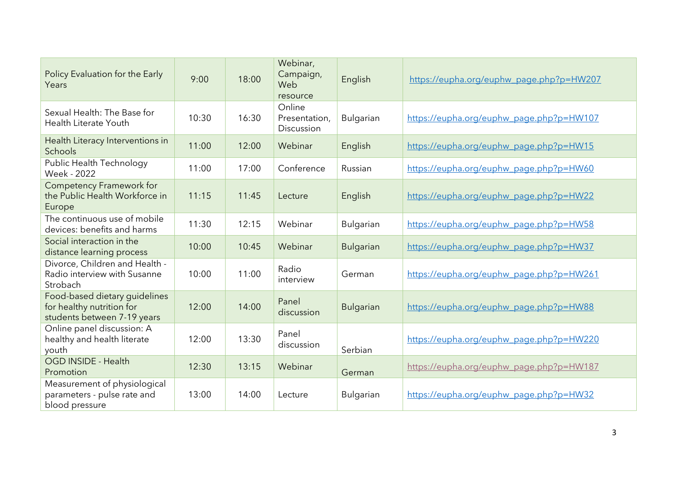| Policy Evaluation for the Early<br>Years                                                  | 9:00  | 18:00 | Webinar,<br>Campaign,<br>Web<br>resource | English          | https://eupha.org/euphw_page.php?p=HW207 |
|-------------------------------------------------------------------------------------------|-------|-------|------------------------------------------|------------------|------------------------------------------|
| Sexual Health: The Base for<br>Health Literate Youth                                      | 10:30 | 16:30 | Online<br>Presentation,<br>Discussion    | Bulgarian        | https://eupha.org/euphw_page.php?p=HW107 |
| Health Literacy Interventions in<br>Schools                                               | 11:00 | 12:00 | Webinar                                  | English          | https://eupha.org/euphw_page.php?p=HW15  |
| Public Health Technology<br>Week - 2022                                                   | 11:00 | 17:00 | Conference                               | Russian          | https://eupha.org/euphw_page.php?p=HW60  |
| <b>Competency Framework for</b><br>the Public Health Workforce in<br>Europe               | 11:15 | 11:45 | Lecture                                  | English          | https://eupha.org/euphw_page.php?p=HW22  |
| The continuous use of mobile<br>devices: benefits and harms                               | 11:30 | 12:15 | Webinar                                  | Bulgarian        | https://eupha.org/euphw_page.php?p=HW58  |
| Social interaction in the<br>distance learning process                                    | 10:00 | 10:45 | Webinar                                  | <b>Bulgarian</b> | https://eupha.org/euphw_page.php?p=HW37  |
| Divorce, Children and Health -<br>Radio interview with Susanne<br>Strobach                | 10:00 | 11:00 | Radio<br>interview                       | German           | https://eupha.org/euphw_page.php?p=HW261 |
| Food-based dietary guidelines<br>for healthy nutrition for<br>students between 7-19 years | 12:00 | 14:00 | Panel<br>discussion                      | <b>Bulgarian</b> | https://eupha.org/euphw_page.php?p=HW88  |
| Online panel discussion: A<br>healthy and health literate<br>youth                        | 12:00 | 13:30 | Panel<br>discussion                      | Serbian          | https://eupha.org/euphw_page.php?p=HW220 |
| OGD INSIDE - Health<br>Promotion                                                          | 12:30 | 13:15 | Webinar                                  | German           | https://eupha.org/euphw_page.php?p=HW187 |
| Measurement of physiological<br>parameters - pulse rate and<br>blood pressure             | 13:00 | 14:00 | Lecture                                  | Bulgarian        | https://eupha.org/euphw_page.php?p=HW32  |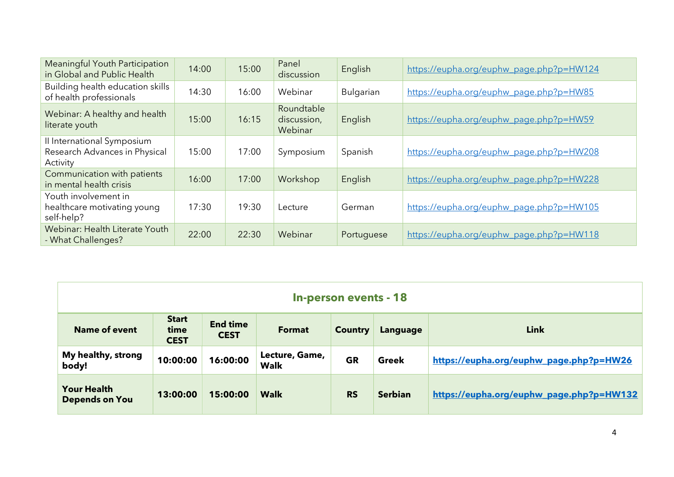| <b>Meaningful Youth Participation</b><br>in Global and Public Health    | 14:00 | 15:00 | Panel<br>discussion                  | English    | https://eupha.org/euphw_page.php?p=HW124 |
|-------------------------------------------------------------------------|-------|-------|--------------------------------------|------------|------------------------------------------|
| Building health education skills<br>of health professionals             | 14:30 | 16:00 | Webinar                              | Bulgarian  | https://eupha.org/euphw_page.php?p=HW85  |
| Webinar: A healthy and health<br>literate youth                         | 15:00 | 16:15 | Roundtable<br>discussion,<br>Webinar | English    | https://eupha.org/euphw_page.php?p=HW59  |
| Il International Symposium<br>Research Advances in Physical<br>Activity | 15:00 | 17:00 | Symposium                            | Spanish    | https://eupha.org/euphw_page.php?p=HW208 |
| Communication with patients<br>in mental health crisis                  | 16:00 | 17:00 | Workshop                             | English    | https://eupha.org/euphw_page.php?p=HW228 |
| Youth involvement in<br>healthcare motivating young<br>self-help?       | 17:30 | 19:30 | Lecture                              | German     | https://eupha.org/euphw_page.php?p=HW105 |
| Webinar: Health Literate Youth<br>- What Challenges?                    | 22:00 | 22:30 | Webinar                              | Portuguese | https://eupha.org/euphw_page.php?p=HW118 |

| In-person events - 18                       |                                     |                                |                               |                |                |                                          |  |
|---------------------------------------------|-------------------------------------|--------------------------------|-------------------------------|----------------|----------------|------------------------------------------|--|
| <b>Name of event</b>                        | <b>Start</b><br>time<br><b>CEST</b> | <b>End time</b><br><b>CEST</b> | <b>Format</b>                 | <b>Country</b> | Language       | <b>Link</b>                              |  |
| My healthy, strong<br>body!                 | 10:00:00                            | 16:00:00                       | Lecture, Game,<br><b>Walk</b> | <b>GR</b>      | Greek          | https://eupha.org/euphw_page.php?p=HW26  |  |
| <b>Your Health</b><br><b>Depends on You</b> | 13:00:00                            | 15:00:00                       | <b>Walk</b>                   | <b>RS</b>      | <b>Serbian</b> | https://eupha.org/euphw_page.php?p=HW132 |  |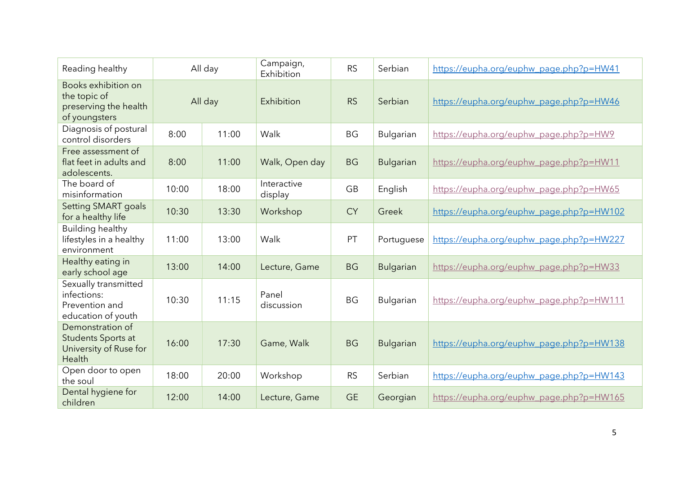| Reading healthy                                                               | All day |       | Campaign,<br>Exhibition | <b>RS</b> | Serbian          | https://eupha.org/euphw_page.php?p=HW41  |
|-------------------------------------------------------------------------------|---------|-------|-------------------------|-----------|------------------|------------------------------------------|
| Books exhibition on<br>the topic of<br>preserving the health<br>of youngsters | All day |       | Exhibition              | <b>RS</b> | Serbian          | https://eupha.org/euphw_page.php?p=HW46  |
| Diagnosis of postural<br>control disorders                                    | 8:00    | 11:00 | Walk                    | <b>BG</b> | Bulgarian        | https://eupha.org/euphw_page.php?p=HW9   |
| Free assessment of<br>flat feet in adults and<br>adolescents.                 | 8:00    | 11:00 | Walk, Open day          | <b>BG</b> | <b>Bulgarian</b> | https://eupha.org/euphw_page.php?p=HW11  |
| The board of<br>misinformation                                                | 10:00   | 18:00 | Interactive<br>display  | <b>GB</b> | English          | https://eupha.org/euphw_page.php?p=HW65  |
| <b>Setting SMART goals</b><br>for a healthy life                              | 10:30   | 13:30 | Workshop                | <b>CY</b> | Greek            | https://eupha.org/euphw_page.php?p=HW102 |
| <b>Building healthy</b><br>lifestyles in a healthy<br>environment             | 11:00   | 13:00 | Walk                    | PT        | Portuguese       | https://eupha.org/euphw_page.php?p=HW227 |
| Healthy eating in<br>early school age                                         | 13:00   | 14:00 | Lecture, Game           | <b>BG</b> | <b>Bulgarian</b> | https://eupha.org/euphw_page.php?p=HW33  |
| Sexually transmitted<br>infections:<br>Prevention and<br>education of youth   | 10:30   | 11:15 | Panel<br>discussion     | <b>BG</b> | <b>Bulgarian</b> | https://eupha.org/euphw_page.php?p=HW111 |
| Demonstration of<br>Students Sports at<br>University of Ruse for<br>Health    | 16:00   | 17:30 | Game, Walk              | <b>BG</b> | <b>Bulgarian</b> | https://eupha.org/euphw_page.php?p=HW138 |
| Open door to open<br>the soul                                                 | 18:00   | 20:00 | Workshop                | <b>RS</b> | Serbian          | https://eupha.org/euphw_page.php?p=HW143 |
| Dental hygiene for<br>children                                                | 12:00   | 14:00 | Lecture, Game           | <b>GE</b> | Georgian         | https://eupha.org/euphw_page.php?p=HW165 |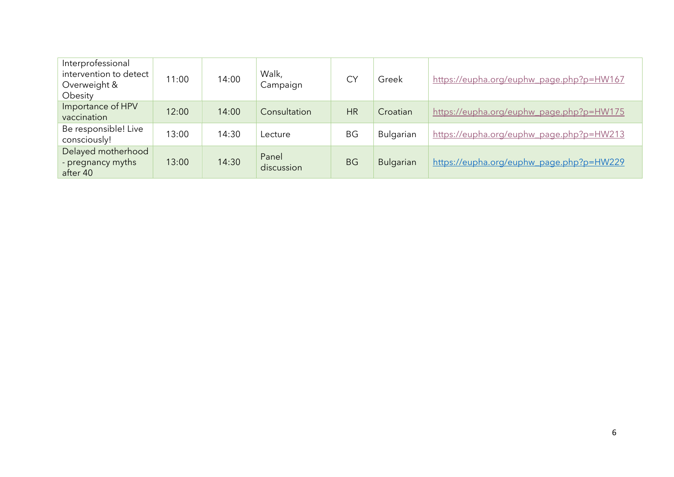| Interprofessional<br>intervention to detect<br>Overweight &<br>Obesity | 11:00 | 14:00 | Walk,<br>Campaign   | <b>CY</b> | Greek     | https://eupha.org/euphw_page.php?p=HW167 |
|------------------------------------------------------------------------|-------|-------|---------------------|-----------|-----------|------------------------------------------|
| Importance of HPV<br>vaccination                                       | 12:00 | 14:00 | Consultation        | <b>HR</b> | Croatian  | https://eupha.org/euphw_page.php?p=HW175 |
| Be responsible! Live<br>consciously!                                   | 13:00 | 14:30 | Lecture             | <b>BG</b> | Bulgarian | https://eupha.org/euphw_page.php?p=HW213 |
| Delayed motherhood<br>- pregnancy myths<br>after 40                    | 13:00 | 14:30 | Panel<br>discussion | <b>BG</b> | Bulgarian | https://eupha.org/euphw_page.php?p=HW229 |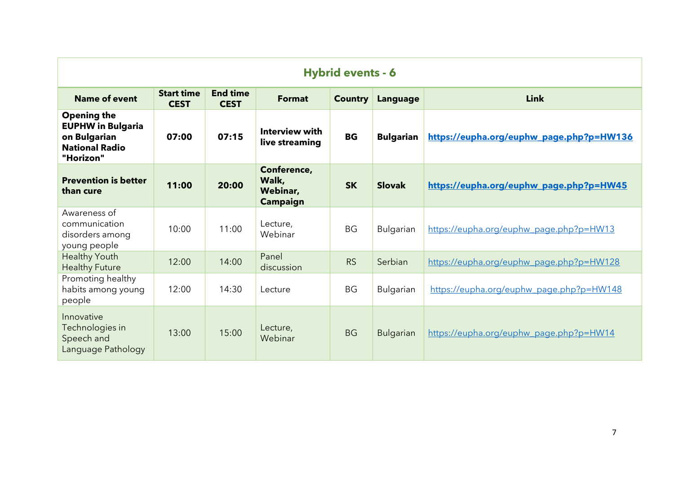| <b>Hybrid events - 6</b>                                                                             |                                  |                                |                                                     |                |                  |                                          |  |
|------------------------------------------------------------------------------------------------------|----------------------------------|--------------------------------|-----------------------------------------------------|----------------|------------------|------------------------------------------|--|
| <b>Name of event</b>                                                                                 | <b>Start time</b><br><b>CEST</b> | <b>End time</b><br><b>CEST</b> | <b>Format</b>                                       | <b>Country</b> | Language         | <b>Link</b>                              |  |
| <b>Opening the</b><br><b>EUPHW in Bulgaria</b><br>on Bulgarian<br><b>National Radio</b><br>"Horizon" | 07:00                            | 07:15                          | <b>Interview with</b><br>live streaming             | <b>BG</b>      | <b>Bulgarian</b> | https://eupha.org/euphw_page.php?p=HW136 |  |
| <b>Prevention is better</b><br>than cure                                                             | 11:00                            | 20:00                          | Conference,<br>Walk,<br>Webinar,<br><b>Campaign</b> | <b>SK</b>      | <b>Slovak</b>    | https://eupha.org/euphw_page.php?p=HW45  |  |
| Awareness of<br>communication<br>disorders among<br>young people                                     | 10:00                            | 11:00                          | Lecture,<br>Webinar                                 | <b>BG</b>      | Bulgarian        | https://eupha.org/euphw_page.php?p=HW13  |  |
| <b>Healthy Youth</b><br><b>Healthy Future</b>                                                        | 12:00                            | 14:00                          | Panel<br>discussion                                 | <b>RS</b>      | Serbian          | https://eupha.org/euphw_page.php?p=HW128 |  |
| Promoting healthy<br>habits among young<br>people                                                    | 12:00                            | 14:30                          | Lecture                                             | <b>BG</b>      | Bulgarian        | https://eupha.org/euphw_page.php?p=HW148 |  |
| Innovative<br>Technologies in<br>Speech and<br>Language Pathology                                    | 13:00                            | 15:00                          | Lecture,<br>Webinar                                 | <b>BG</b>      | <b>Bulgarian</b> | https://eupha.org/euphw_page.php?p=HW14  |  |